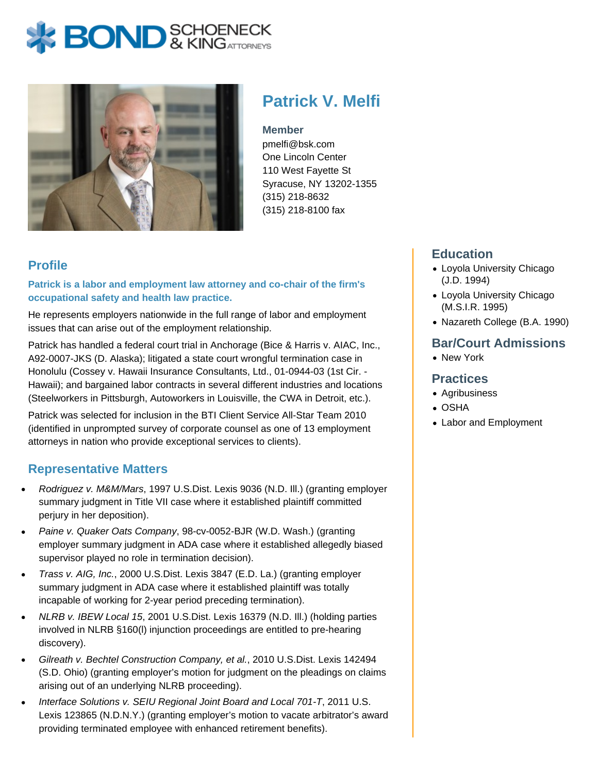# **BOND** & KINGATTORNECK



## **Patrick V. Melfi**

**Member**

pmelfi@bsk.com One Lincoln Center 110 West Fayette St Syracuse, NY 13202-1355 (315) 218-8632 (315) 218-8100 fax

### **Profile**

**Patrick is a labor and employment law attorney and co-chair of the firm's occupational safety and health law practice.**

He represents employers nationwide in the full range of labor and employment issues that can arise out of the employment relationship.

Patrick has handled a federal court trial in Anchorage (Bice & Harris v. AIAC, Inc., A92-0007-JKS (D. Alaska); litigated a state court wrongful termination case in Honolulu (Cossey v. Hawaii Insurance Consultants, Ltd., 01-0944-03 (1st Cir. - Hawaii); and bargained labor contracts in several different industries and locations (Steelworkers in Pittsburgh, Autoworkers in Louisville, the CWA in Detroit, etc.).

Patrick was selected for inclusion in the BTI Client Service All-Star Team 2010 (identified in unprompted survey of corporate counsel as one of 13 employment attorneys in nation who provide exceptional services to clients).

#### **Representative Matters**

- Rodriguez v. M&M/Mars, 1997 U.S.Dist. Lexis 9036 (N.D. Ill.) (granting employer summary judgment in Title VII case where it established plaintiff committed perjury in her deposition).
- Paine v. Quaker Oats Company, 98-cv-0052-BJR (W.D. Wash.) (granting employer summary judgment in ADA case where it established allegedly biased supervisor played no role in termination decision).
- Trass v. AIG, Inc., 2000 U.S.Dist. Lexis 3847 (E.D. La.) (granting employer summary judgment in ADA case where it established plaintiff was totally incapable of working for 2-year period preceding termination).
- NLRB v. IBEW Local 15, 2001 U.S.Dist. Lexis 16379 (N.D. Ill.) (holding parties involved in NLRB §160(l) injunction proceedings are entitled to pre-hearing discovery).
- Gilreath v. Bechtel Construction Company, et al., 2010 U.S.Dist. Lexis 142494 (S.D. Ohio) (granting employer's motion for judgment on the pleadings on claims arising out of an underlying NLRB proceeding).
- Interface Solutions v. SEIU Regional Joint Board and Local 701-T, 2011 U.S. Lexis 123865 (N.D.N.Y.) (granting employer's motion to vacate arbitrator's award providing terminated employee with enhanced retirement benefits).

#### **Education**

- Loyola University Chicago (J.D. 1994)
- Loyola University Chicago (M.S.I.R. 1995)
- Nazareth College (B.A. 1990)

#### **Bar/Court Admissions**

• New York

#### **Practices**

- Agribusiness
- OSHA
- Labor and Employment